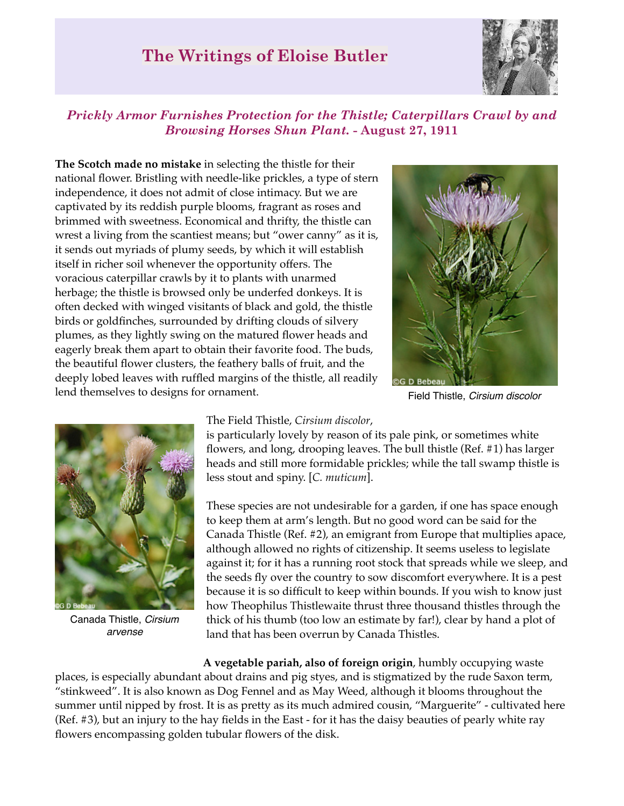# **The Writings of Eloise Butler**



## *Prickly Armor Furnishes Protection for the Thistle; Caterpillars Crawl by and Browsing Horses Shun Plant.* **- August 27, 1911**

**The Scotch made no mistake** in selecting the thistle for their national flower. Bristling with needle-like prickles, a type of stern independence, it does not admit of close intimacy. But we are captivated by its reddish purple blooms, fragrant as roses and brimmed with sweetness. Economical and thrifty, the thistle can wrest a living from the scantiest means; but "ower canny" as it is, it sends out myriads of plumy seeds, by which it will establish itself in richer soil whenever the opportunity offers. The voracious caterpillar crawls by it to plants with unarmed herbage; the thistle is browsed only be underfed donkeys. It is often decked with winged visitants of black and gold, the thistle birds or goldfinches, surrounded by drifting clouds of silvery plumes, as they lightly swing on the matured flower heads and eagerly break them apart to obtain their favorite food. The buds, the beautiful flower clusters, the feathery balls of fruit, and the deeply lobed leaves with ruffled margins of the thistle, all readily lend themselves to designs for ornament.



Field Thistle, *Cirsium discolor*



Canada Thistle, *Cirsium arvense*

#### The Field Thistle, *Cirsium discolor*,

is particularly lovely by reason of its pale pink, or sometimes white flowers, and long, drooping leaves. The bull thistle (Ref. #1) has larger heads and still more formidable prickles; while the tall swamp thistle is less stout and spiny. [*C. muticum*].

These species are not undesirable for a garden, if one has space enough to keep them at arm's length. But no good word can be said for the Canada Thistle (Ref. #2), an emigrant from Europe that multiplies apace, although allowed no rights of citizenship. It seems useless to legislate against it; for it has a running root stock that spreads while we sleep, and the seeds fly over the country to sow discomfort everywhere. It is a pest because it is so difficult to keep within bounds. If you wish to know just how Theophilus Thistlewaite thrust three thousand thistles through the thick of his thumb (too low an estimate by far!), clear by hand a plot of land that has been overrun by Canada Thistles.

**A vegetable pariah, also of foreign origin**, humbly occupying waste places, is especially abundant about drains and pig styes, and is stigmatized by the rude Saxon term, "stinkweed". It is also known as Dog Fennel and as May Weed, although it blooms throughout the summer until nipped by frost. It is as pretty as its much admired cousin, "Marguerite" - cultivated here (Ref. #3), but an injury to the hay fields in the East - for it has the daisy beauties of pearly white ray flowers encompassing golden tubular flowers of the disk.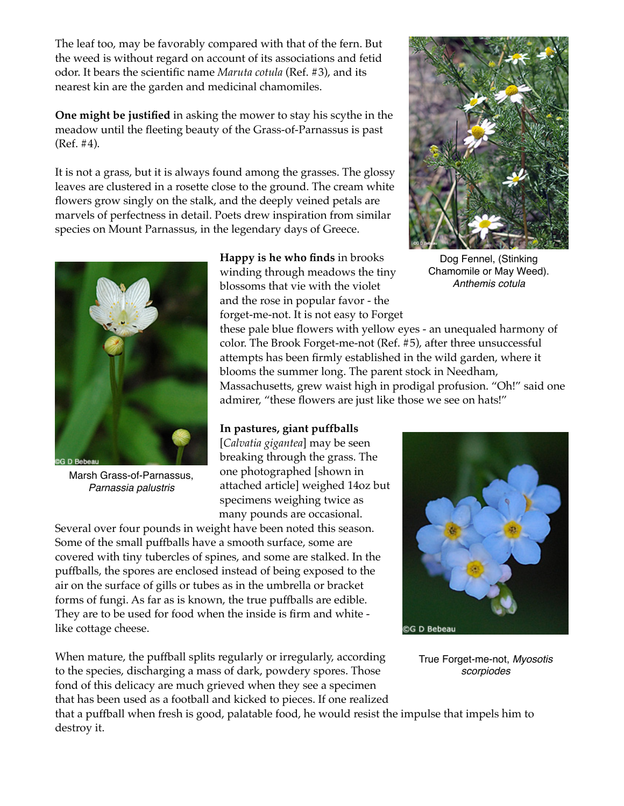The leaf too, may be favorably compared with that of the fern. But the weed is without regard on account of its associations and fetid odor. It bears the scientific name *Maruta cotula* (Ref. #3), and its nearest kin are the garden and medicinal chamomiles.

**One might be justified** in asking the mower to stay his scythe in the meadow until the fleeting beauty of the Grass-of-Parnassus is past (Ref. #4).

It is not a grass, but it is always found among the grasses. The glossy leaves are clustered in a rosette close to the ground. The cream white flowers grow singly on the stalk, and the deeply veined petals are marvels of perfectness in detail. Poets drew inspiration from similar species on Mount Parnassus, in the legendary days of Greece.



Marsh Grass-of-Parnassus, *Parnassia palustris*

**Happy is he who finds** in brooks winding through meadows the tiny blossoms that vie with the violet and the rose in popular favor - the forget-me-not. It is not easy to Forget

these pale blue flowers with yellow eyes - an unequaled harmony of

color. The Brook Forget-me-not (Ref. #5), after three unsuccessful attempts has been firmly established in the wild garden, where it blooms the summer long. The parent stock in Needham, Massachusetts, grew waist high in prodigal profusion. "Oh!" said one admirer, "these flowers are just like those we see on hats!"

#### **In pastures, giant puffballs**

[*Calvatia gigantea*] may be seen breaking through the grass. The one photographed [shown in attached article] weighed 14oz but specimens weighing twice as many pounds are occasional.

Several over four pounds in weight have been noted this season. Some of the small puffballs have a smooth surface, some are covered with tiny tubercles of spines, and some are stalked. In the puffballs, the spores are enclosed instead of being exposed to the air on the surface of gills or tubes as in the umbrella or bracket forms of fungi. As far as is known, the true puffballs are edible. They are to be used for food when the inside is firm and white like cottage cheese.

When mature, the puffball splits regularly or irregularly, according to the species, discharging a mass of dark, powdery spores. Those fond of this delicacy are much grieved when they see a specimen that has been used as a football and kicked to pieces. If one realized



Dog Fennel, (Stinking Chamomile or May Weed). *Anthemis cotula*



True Forget-me-not, *Myosotis scorpiodes*

that a puffball when fresh is good, palatable food, he would resist the impulse that impels him to destroy it.